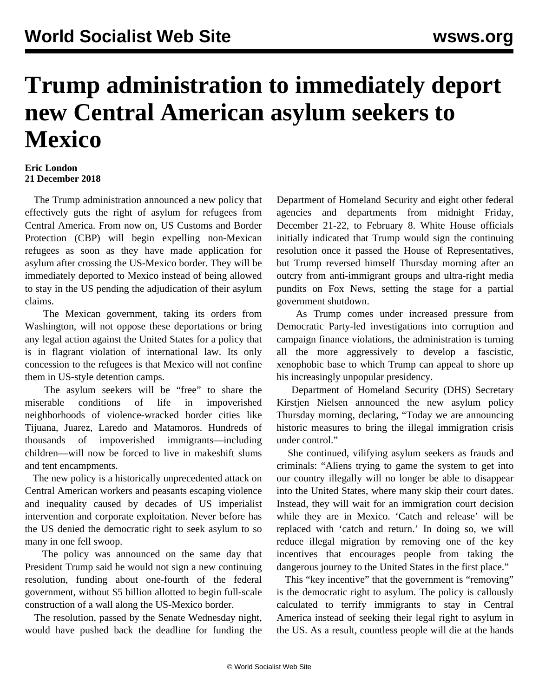## **Trump administration to immediately deport new Central American asylum seekers to Mexico**

## **Eric London 21 December 2018**

 The Trump administration announced a new policy that effectively guts the right of asylum for refugees from Central America. From now on, US Customs and Border Protection (CBP) will begin expelling non-Mexican refugees as soon as they have made application for asylum after crossing the US-Mexico border. They will be immediately deported to Mexico instead of being allowed to stay in the US pending the adjudication of their asylum claims.

 The Mexican government, taking its orders from Washington, will not oppose these deportations or bring any legal action against the United States for a policy that is in flagrant violation of international law. Its only concession to the refugees is that Mexico will not confine them in US-style detention camps.

 The asylum seekers will be "free" to share the miserable conditions of life in impoverished neighborhoods of violence-wracked border cities like Tijuana, Juarez, Laredo and Matamoros. Hundreds of thousands of impoverished immigrants—including children—will now be forced to live in makeshift slums and tent encampments.

 The new policy is a historically unprecedented attack on Central American workers and peasants escaping violence and inequality caused by decades of US imperialist intervention and corporate exploitation. Never before has the US denied the democratic right to seek asylum to so many in one fell swoop.

 The policy was announced on the same day that President Trump said he would not sign a new continuing resolution, funding about one-fourth of the federal government, without \$5 billion allotted to begin full-scale construction of a wall along the US-Mexico border.

 The resolution, passed by the Senate Wednesday night, would have pushed back the deadline for funding the Department of Homeland Security and eight other federal agencies and departments from midnight Friday, December 21-22, to February 8. White House officials initially indicated that Trump would sign the continuing resolution once it passed the House of Representatives, but Trump reversed himself Thursday morning after an outcry from anti-immigrant groups and ultra-right media pundits on Fox News, setting the stage for a partial government shutdown.

 As Trump comes under increased pressure from Democratic Party-led investigations into corruption and campaign finance violations, the administration is turning all the more aggressively to develop a fascistic, xenophobic base to which Trump can appeal to shore up his increasingly unpopular presidency.

 Department of Homeland Security (DHS) Secretary Kirstjen Nielsen announced the new asylum policy Thursday morning, declaring, "Today we are announcing historic measures to bring the illegal immigration crisis under control."

 She continued, vilifying asylum seekers as frauds and criminals: "Aliens trying to game the system to get into our country illegally will no longer be able to disappear into the United States, where many skip their court dates. Instead, they will wait for an immigration court decision while they are in Mexico. 'Catch and release' will be replaced with 'catch and return.' In doing so, we will reduce illegal migration by removing one of the key incentives that encourages people from taking the dangerous journey to the United States in the first place."

This "key incentive" that the government is "removing" is the democratic right to asylum. The policy is callously calculated to terrify immigrants to stay in Central America instead of seeking their legal right to asylum in the US. As a result, countless people will die at the hands